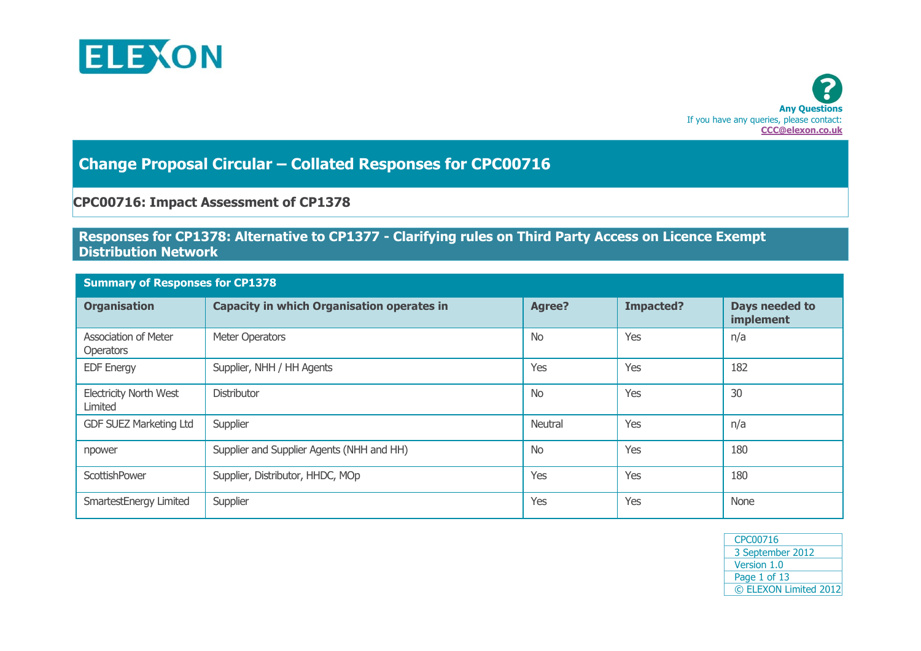



## **Change Proposal Circular – Collated Responses for CPC00716**

## **CPC00716: Impact Assessment of CP1378**

## **Responses for CP1378: Alternative to CP1377 - Clarifying rules on Third Party Access on Licence Exempt Distribution Network**

| <b>Summary of Responses for CP1378</b>          |                                                   |               |                  |                             |  |  |
|-------------------------------------------------|---------------------------------------------------|---------------|------------------|-----------------------------|--|--|
| <b>Organisation</b>                             | <b>Capacity in which Organisation operates in</b> | <b>Agree?</b> | <b>Impacted?</b> | Days needed to<br>implement |  |  |
| <b>Association of Meter</b><br><b>Operators</b> | Meter Operators                                   | <b>No</b>     | Yes              | n/a                         |  |  |
| <b>EDF Energy</b>                               | Supplier, NHH / HH Agents                         | Yes           | Yes              | 182                         |  |  |
| <b>Electricity North West</b><br>Limited        | <b>Distributor</b>                                | <b>No</b>     | Yes              | 30                          |  |  |
| <b>GDF SUEZ Marketing Ltd</b>                   | Supplier                                          | Neutral       | Yes              | n/a                         |  |  |
| npower                                          | Supplier and Supplier Agents (NHH and HH)         | <b>No</b>     | Yes              | 180                         |  |  |
| <b>ScottishPower</b>                            | Supplier, Distributor, HHDC, MOp                  | Yes           | Yes              | 180                         |  |  |
| SmartestEnergy Limited                          | Supplier                                          | Yes           | Yes              | None                        |  |  |

| CPC00716              |
|-----------------------|
| 3 September 2012      |
| Version 1.0           |
| Page 1 of 13          |
| © ELEXON Limited 2012 |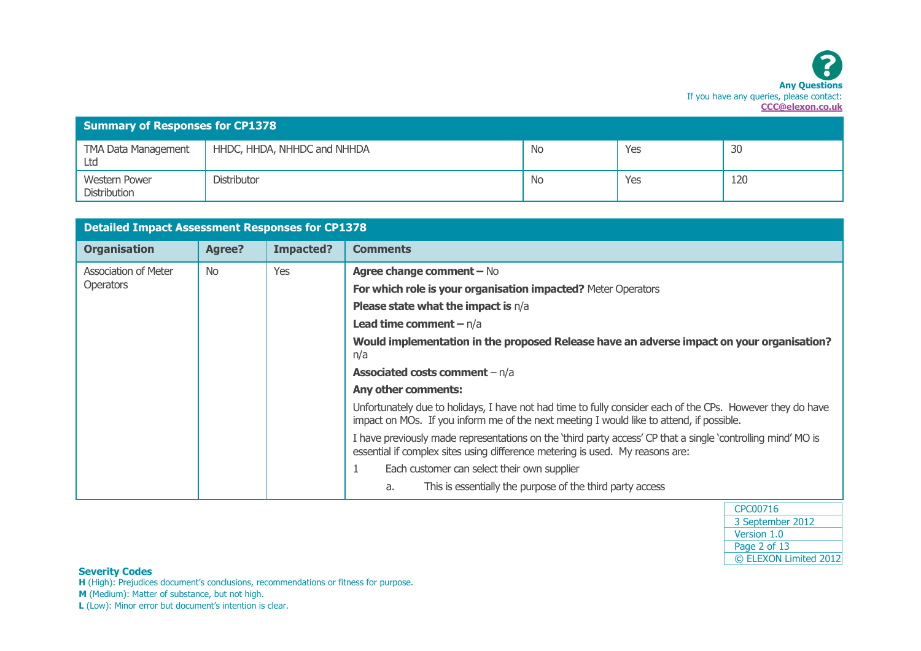| <b>Summary of Responses for CP1378</b>      |                             |     |     |     |  |
|---------------------------------------------|-----------------------------|-----|-----|-----|--|
| <b>TMA Data Management</b><br>Ltd           | HHDC, HHDA, NHHDC and NHHDA | No. | Yes | 30  |  |
| <b>Western Power</b><br><b>Distribution</b> | Distributor                 | -No | Yes | 120 |  |

| <b>Detailed Impact Assessment Responses for CP1378</b> |               |           |                                                                                                                                                                                                        |  |
|--------------------------------------------------------|---------------|-----------|--------------------------------------------------------------------------------------------------------------------------------------------------------------------------------------------------------|--|
| <b>Organisation</b>                                    | <b>Agree?</b> | Impacted? | <b>Comments</b>                                                                                                                                                                                        |  |
| Association of Meter                                   | <b>No</b>     | Yes       | Agree change comment - No                                                                                                                                                                              |  |
| Operators                                              |               |           | For which role is your organisation impacted? Meter Operators                                                                                                                                          |  |
|                                                        |               |           | <b>Please state what the impact is <math>n/a</math></b>                                                                                                                                                |  |
|                                                        |               |           | <b>Lead time comment - n/a</b>                                                                                                                                                                         |  |
|                                                        |               |           | Would implementation in the proposed Release have an adverse impact on your organisation?<br>n/a                                                                                                       |  |
|                                                        |               |           | <b>Associated costs comment</b> $- n/a$                                                                                                                                                                |  |
|                                                        |               |           | Any other comments:                                                                                                                                                                                    |  |
|                                                        |               |           | Unfortunately due to holidays, I have not had time to fully consider each of the CPs. However they do have<br>impact on MOs. If you inform me of the next meeting I would like to attend, if possible. |  |
|                                                        |               |           | I have previously made representations on the 'third party access' CP that a single 'controlling mind' MO is<br>essential if complex sites using difference metering is used. My reasons are:          |  |
|                                                        |               |           | Each customer can select their own supplier                                                                                                                                                            |  |
|                                                        |               |           | This is essentially the purpose of the third party access<br>a.                                                                                                                                        |  |

| CPC00716              |
|-----------------------|
| 3 September 2012      |
| Version 1.0           |
| Page 2 of 13          |
| © ELEXON Limited 2012 |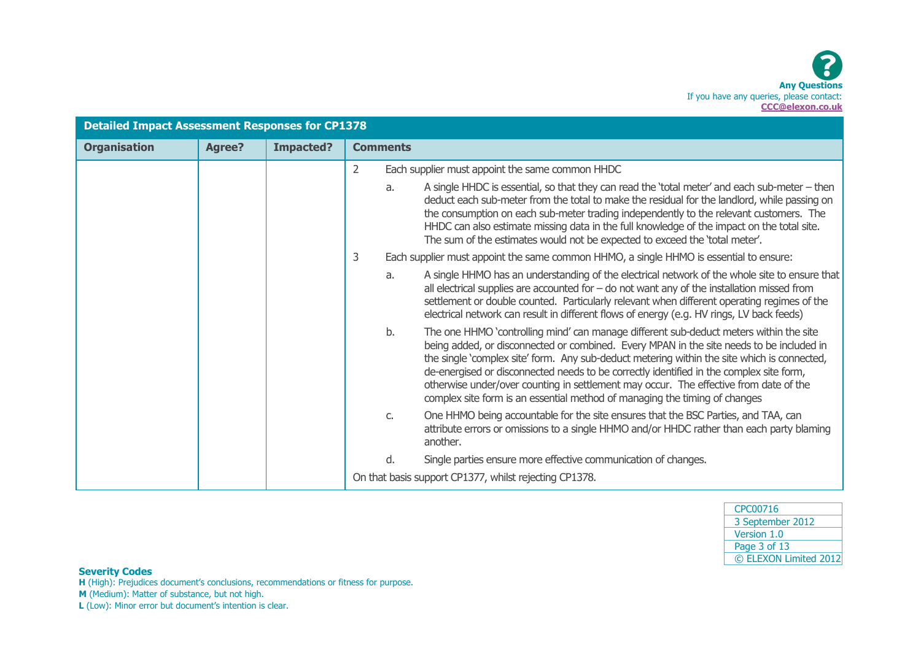| <b>Detailed Impact Assessment Responses for CP1378</b> |               |                  |                                                                                                                                                                                                                                                                                                                                                                                                                                                                                                                                                           |  |
|--------------------------------------------------------|---------------|------------------|-----------------------------------------------------------------------------------------------------------------------------------------------------------------------------------------------------------------------------------------------------------------------------------------------------------------------------------------------------------------------------------------------------------------------------------------------------------------------------------------------------------------------------------------------------------|--|
| <b>Organisation</b>                                    | <b>Agree?</b> | <b>Impacted?</b> | <b>Comments</b>                                                                                                                                                                                                                                                                                                                                                                                                                                                                                                                                           |  |
|                                                        |               |                  | $\overline{2}$<br>Each supplier must appoint the same common HHDC                                                                                                                                                                                                                                                                                                                                                                                                                                                                                         |  |
|                                                        |               |                  | A single HHDC is essential, so that they can read the 'total meter' and each sub-meter - then<br>a.<br>deduct each sub-meter from the total to make the residual for the landlord, while passing on<br>the consumption on each sub-meter trading independently to the relevant customers. The<br>HHDC can also estimate missing data in the full knowledge of the impact on the total site.<br>The sum of the estimates would not be expected to exceed the 'total meter'.                                                                                |  |
|                                                        |               |                  | 3<br>Each supplier must appoint the same common HHMO, a single HHMO is essential to ensure:                                                                                                                                                                                                                                                                                                                                                                                                                                                               |  |
|                                                        |               |                  | A single HHMO has an understanding of the electrical network of the whole site to ensure that<br>a.<br>all electrical supplies are accounted for $-$ do not want any of the installation missed from<br>settlement or double counted. Particularly relevant when different operating regimes of the<br>electrical network can result in different flows of energy (e.g. HV rings, LV back feeds)                                                                                                                                                          |  |
|                                                        |               |                  | The one HHMO 'controlling mind' can manage different sub-deduct meters within the site<br>b.<br>being added, or disconnected or combined. Every MPAN in the site needs to be included in<br>the single 'complex site' form. Any sub-deduct metering within the site which is connected,<br>de-energised or disconnected needs to be correctly identified in the complex site form,<br>otherwise under/over counting in settlement may occur. The effective from date of the<br>complex site form is an essential method of managing the timing of changes |  |
|                                                        |               |                  | One HHMO being accountable for the site ensures that the BSC Parties, and TAA, can<br>C.<br>attribute errors or omissions to a single HHMO and/or HHDC rather than each party blaming<br>another.                                                                                                                                                                                                                                                                                                                                                         |  |
|                                                        |               |                  | Single parties ensure more effective communication of changes.<br>d.                                                                                                                                                                                                                                                                                                                                                                                                                                                                                      |  |
|                                                        |               |                  | On that basis support CP1377, whilst rejecting CP1378.                                                                                                                                                                                                                                                                                                                                                                                                                                                                                                    |  |

| CPC00716              |
|-----------------------|
| 3 September 2012      |
| Version 1.0           |
| Page 3 of 13          |
| © ELEXON Limited 2012 |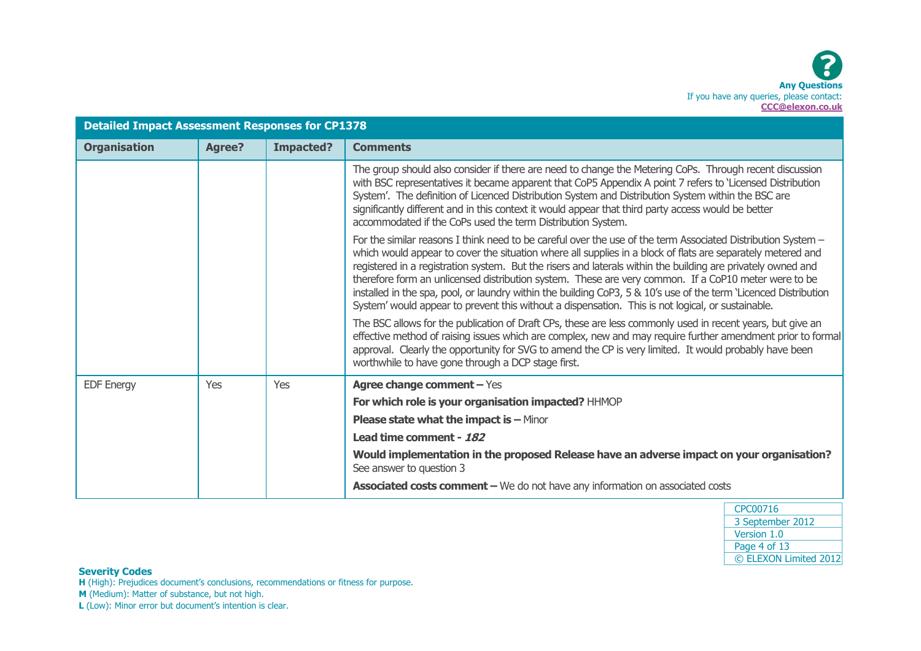| <b>Detailed Impact Assessment Responses for CP1378</b> |               |                  |                                                                                                                                                                                                                                                                                                                                                                                                                                                                                                                                                                                                                                                                              |
|--------------------------------------------------------|---------------|------------------|------------------------------------------------------------------------------------------------------------------------------------------------------------------------------------------------------------------------------------------------------------------------------------------------------------------------------------------------------------------------------------------------------------------------------------------------------------------------------------------------------------------------------------------------------------------------------------------------------------------------------------------------------------------------------|
| <b>Organisation</b>                                    | <b>Agree?</b> | <b>Impacted?</b> | <b>Comments</b>                                                                                                                                                                                                                                                                                                                                                                                                                                                                                                                                                                                                                                                              |
|                                                        |               |                  | The group should also consider if there are need to change the Metering CoPs. Through recent discussion<br>with BSC representatives it became apparent that CoP5 Appendix A point 7 refers to 'Licensed Distribution<br>System'. The definition of Licenced Distribution System and Distribution System within the BSC are<br>significantly different and in this context it would appear that third party access would be better<br>accommodated if the CoPs used the term Distribution System.                                                                                                                                                                             |
|                                                        |               |                  | For the similar reasons I think need to be careful over the use of the term Associated Distribution System -<br>which would appear to cover the situation where all supplies in a block of flats are separately metered and<br>registered in a registration system. But the risers and laterals within the building are privately owned and<br>therefore form an unlicensed distribution system. These are very common. If a CoP10 meter were to be<br>installed in the spa, pool, or laundry within the building CoP3, 5 & 10's use of the term 'Licenced Distribution<br>System' would appear to prevent this without a dispensation. This is not logical, or sustainable. |
|                                                        |               |                  | The BSC allows for the publication of Draft CPs, these are less commonly used in recent years, but give an<br>effective method of raising issues which are complex, new and may require further amendment prior to formal<br>approval. Clearly the opportunity for SVG to amend the CP is very limited. It would probably have been<br>worthwhile to have gone through a DCP stage first.                                                                                                                                                                                                                                                                                    |
| <b>EDF Energy</b>                                      | Yes           | Yes              | Agree change comment - Yes                                                                                                                                                                                                                                                                                                                                                                                                                                                                                                                                                                                                                                                   |
|                                                        |               |                  | For which role is your organisation impacted? HHMOP                                                                                                                                                                                                                                                                                                                                                                                                                                                                                                                                                                                                                          |
|                                                        |               |                  | <b>Please state what the impact is - Minor</b>                                                                                                                                                                                                                                                                                                                                                                                                                                                                                                                                                                                                                               |
|                                                        |               |                  | Lead time comment - 182                                                                                                                                                                                                                                                                                                                                                                                                                                                                                                                                                                                                                                                      |
|                                                        |               |                  | Would implementation in the proposed Release have an adverse impact on your organisation?<br>See answer to question 3                                                                                                                                                                                                                                                                                                                                                                                                                                                                                                                                                        |
|                                                        |               |                  | <b>Associated costs comment - </b> We do not have any information on associated costs                                                                                                                                                                                                                                                                                                                                                                                                                                                                                                                                                                                        |

| CPC00716              |  |
|-----------------------|--|
| 3 September 2012      |  |
| Version 1.0           |  |
| Page 4 of 13          |  |
| © ELEXON Limited 2012 |  |

**H** (High): Prejudices document's conclusions, recommendations or fitness for purpose.

**M** (Medium): Matter of substance, but not high.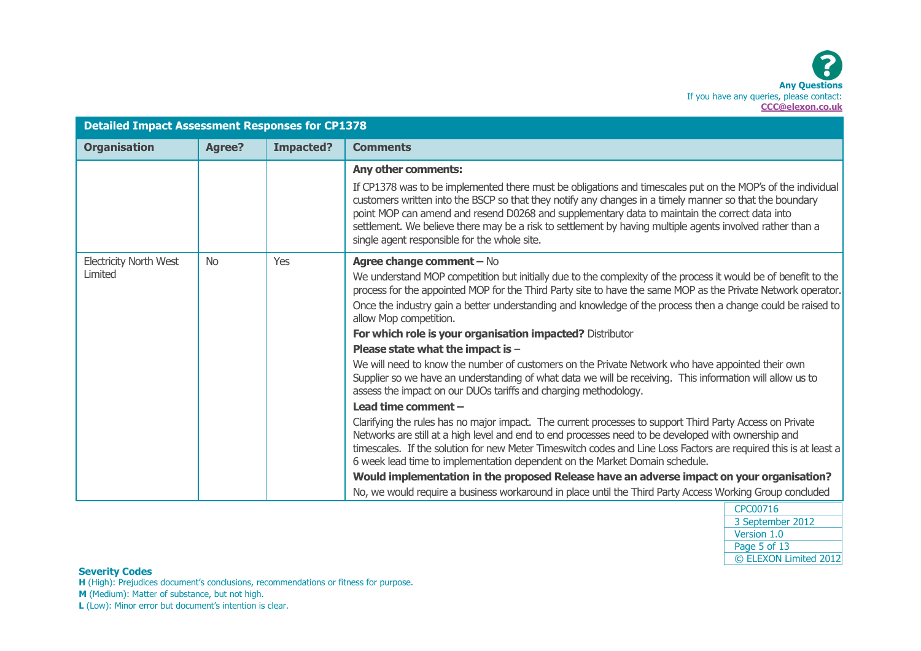| <b>Detailed Impact Assessment Responses for CP1378</b> |               |                  |                                                                                                                                                                                                                                                                                                                                                                                                                                                                                      |
|--------------------------------------------------------|---------------|------------------|--------------------------------------------------------------------------------------------------------------------------------------------------------------------------------------------------------------------------------------------------------------------------------------------------------------------------------------------------------------------------------------------------------------------------------------------------------------------------------------|
| <b>Organisation</b>                                    | <b>Agree?</b> | <b>Impacted?</b> | <b>Comments</b>                                                                                                                                                                                                                                                                                                                                                                                                                                                                      |
|                                                        |               |                  | Any other comments:                                                                                                                                                                                                                                                                                                                                                                                                                                                                  |
|                                                        |               |                  | If CP1378 was to be implemented there must be obligations and timescales put on the MOP's of the individual<br>customers written into the BSCP so that they notify any changes in a timely manner so that the boundary<br>point MOP can amend and resend D0268 and supplementary data to maintain the correct data into<br>settlement. We believe there may be a risk to settlement by having multiple agents involved rather than a<br>single agent responsible for the whole site. |
| <b>Electricity North West</b>                          | <b>No</b>     | Yes              | Agree change comment - No                                                                                                                                                                                                                                                                                                                                                                                                                                                            |
| Limited                                                |               |                  | We understand MOP competition but initially due to the complexity of the process it would be of benefit to the<br>process for the appointed MOP for the Third Party site to have the same MOP as the Private Network operator.                                                                                                                                                                                                                                                       |
|                                                        |               |                  | Once the industry gain a better understanding and knowledge of the process then a change could be raised to<br>allow Mop competition.                                                                                                                                                                                                                                                                                                                                                |
|                                                        |               |                  | For which role is your organisation impacted? Distributor                                                                                                                                                                                                                                                                                                                                                                                                                            |
|                                                        |               |                  | Please state what the impact is -                                                                                                                                                                                                                                                                                                                                                                                                                                                    |
|                                                        |               |                  | We will need to know the number of customers on the Private Network who have appointed their own<br>Supplier so we have an understanding of what data we will be receiving. This information will allow us to<br>assess the impact on our DUOs tariffs and charging methodology.                                                                                                                                                                                                     |
|                                                        |               |                  | Lead time comment -                                                                                                                                                                                                                                                                                                                                                                                                                                                                  |
|                                                        |               |                  | Clarifying the rules has no major impact. The current processes to support Third Party Access on Private<br>Networks are still at a high level and end to end processes need to be developed with ownership and<br>timescales. If the solution for new Meter Timeswitch codes and Line Loss Factors are required this is at least a<br>6 week lead time to implementation dependent on the Market Domain schedule.                                                                   |
|                                                        |               |                  | Would implementation in the proposed Release have an adverse impact on your organisation?                                                                                                                                                                                                                                                                                                                                                                                            |
|                                                        |               |                  | No, we would require a business workaround in place until the Third Party Access Working Group concluded                                                                                                                                                                                                                                                                                                                                                                             |

| CPC00716              |
|-----------------------|
| 3 September 2012      |
| Version 1.0           |
| Page 5 of 13          |
| © ELEXON Limited 2012 |

**H** (High): Prejudices document's conclusions, recommendations or fitness for purpose.

**M** (Medium): Matter of substance, but not high.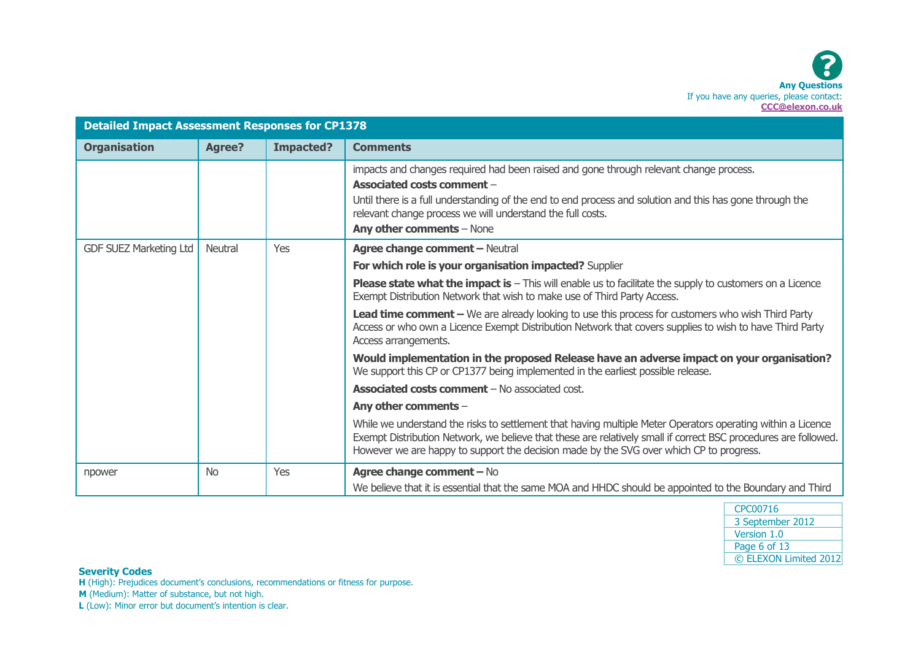| <b>Detailed Impact Assessment Responses for CP1378</b> |               |                  |                                                                                                                                                                                                                                                                                                                             |
|--------------------------------------------------------|---------------|------------------|-----------------------------------------------------------------------------------------------------------------------------------------------------------------------------------------------------------------------------------------------------------------------------------------------------------------------------|
| <b>Organisation</b>                                    | <b>Agree?</b> | <b>Impacted?</b> | <b>Comments</b>                                                                                                                                                                                                                                                                                                             |
|                                                        |               |                  | impacts and changes required had been raised and gone through relevant change process.<br>Associated costs comment -<br>Until there is a full understanding of the end to end process and solution and this has gone through the<br>relevant change process we will understand the full costs.<br>Any other comments - None |
| <b>GDF SUEZ Marketing Ltd</b>                          | Neutral       | Yes              | <b>Agree change comment - Neutral</b>                                                                                                                                                                                                                                                                                       |
|                                                        |               |                  | For which role is your organisation impacted? Supplier                                                                                                                                                                                                                                                                      |
|                                                        |               |                  | <b>Please state what the impact is - This will enable us to facilitate the supply to customers on a Licence</b><br>Exempt Distribution Network that wish to make use of Third Party Access.                                                                                                                                 |
|                                                        |               |                  | Lead time comment - We are already looking to use this process for customers who wish Third Party<br>Access or who own a Licence Exempt Distribution Network that covers supplies to wish to have Third Party<br>Access arrangements.                                                                                       |
|                                                        |               |                  | Would implementation in the proposed Release have an adverse impact on your organisation?<br>We support this CP or CP1377 being implemented in the earliest possible release.                                                                                                                                               |
|                                                        |               |                  | <b>Associated costs comment - No associated cost.</b>                                                                                                                                                                                                                                                                       |
|                                                        |               |                  | Any other comments -                                                                                                                                                                                                                                                                                                        |
|                                                        |               |                  | While we understand the risks to settlement that having multiple Meter Operators operating within a Licence<br>Exempt Distribution Network, we believe that these are relatively small if correct BSC procedures are followed.<br>However we are happy to support the decision made by the SVG over which CP to progress.   |
| npower                                                 | <b>No</b>     | Yes              | Agree change comment - No<br>We believe that it is essential that the same MOA and HHDC should be appointed to the Boundary and Third                                                                                                                                                                                       |

**H** (High): Prejudices document's conclusions, recommendations or fitness for purpose.

**M** (Medium): Matter of substance, but not high.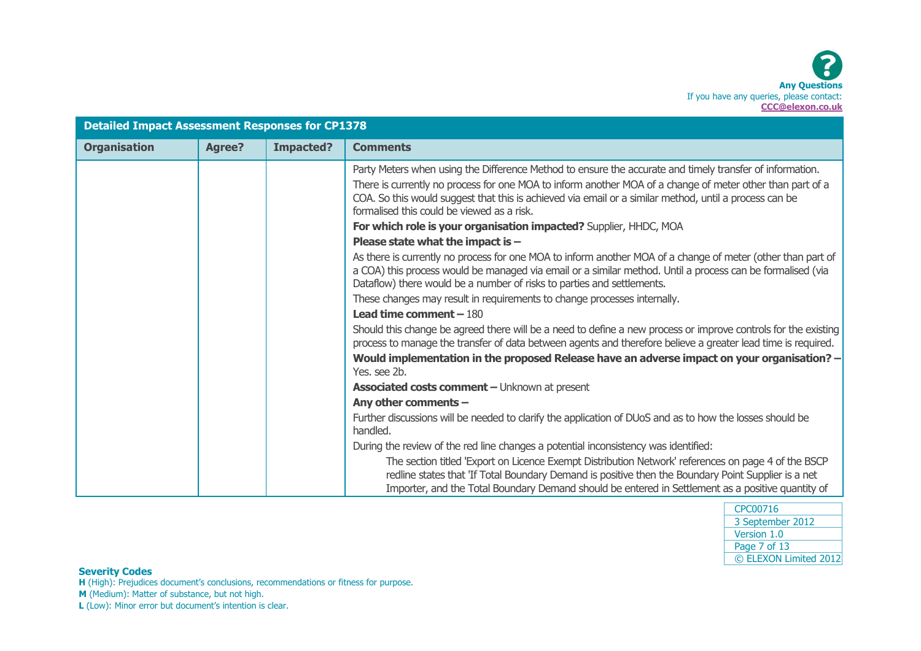| <b>Detailed Impact Assessment Responses for CP1378</b> |               |                  |                                                                                                                                                                                                                                                                                                                                                                               |
|--------------------------------------------------------|---------------|------------------|-------------------------------------------------------------------------------------------------------------------------------------------------------------------------------------------------------------------------------------------------------------------------------------------------------------------------------------------------------------------------------|
| <b>Organisation</b>                                    | <b>Agree?</b> | <b>Impacted?</b> | <b>Comments</b>                                                                                                                                                                                                                                                                                                                                                               |
|                                                        |               |                  | Party Meters when using the Difference Method to ensure the accurate and timely transfer of information.<br>There is currently no process for one MOA to inform another MOA of a change of meter other than part of a<br>COA. So this would suggest that this is achieved via email or a similar method, until a process can be<br>formalised this could be viewed as a risk. |
|                                                        |               |                  | For which role is your organisation impacted? Supplier, HHDC, MOA                                                                                                                                                                                                                                                                                                             |
|                                                        |               |                  | Please state what the impact is $-$                                                                                                                                                                                                                                                                                                                                           |
|                                                        |               |                  | As there is currently no process for one MOA to inform another MOA of a change of meter (other than part of<br>a COA) this process would be managed via email or a similar method. Until a process can be formalised (via<br>Dataflow) there would be a number of risks to parties and settlements.                                                                           |
|                                                        |               |                  | These changes may result in requirements to change processes internally.                                                                                                                                                                                                                                                                                                      |
|                                                        |               |                  | Lead time comment $-180$                                                                                                                                                                                                                                                                                                                                                      |
|                                                        |               |                  | Should this change be agreed there will be a need to define a new process or improve controls for the existing<br>process to manage the transfer of data between agents and therefore believe a greater lead time is required.                                                                                                                                                |
|                                                        |               |                  | Would implementation in the proposed Release have an adverse impact on your organisation? -<br>Yes, see 2b.                                                                                                                                                                                                                                                                   |
|                                                        |               |                  | <b>Associated costs comment - Unknown at present</b>                                                                                                                                                                                                                                                                                                                          |
|                                                        |               |                  | Any other comments -                                                                                                                                                                                                                                                                                                                                                          |
|                                                        |               |                  | Further discussions will be needed to clarify the application of DUoS and as to how the losses should be<br>handled.                                                                                                                                                                                                                                                          |
|                                                        |               |                  | During the review of the red line changes a potential inconsistency was identified:                                                                                                                                                                                                                                                                                           |
|                                                        |               |                  | The section titled 'Export on Licence Exempt Distribution Network' references on page 4 of the BSCP<br>redline states that 'If Total Boundary Demand is positive then the Boundary Point Supplier is a net<br>Importer, and the Total Boundary Demand should be entered in Settlement as a positive quantity of                                                               |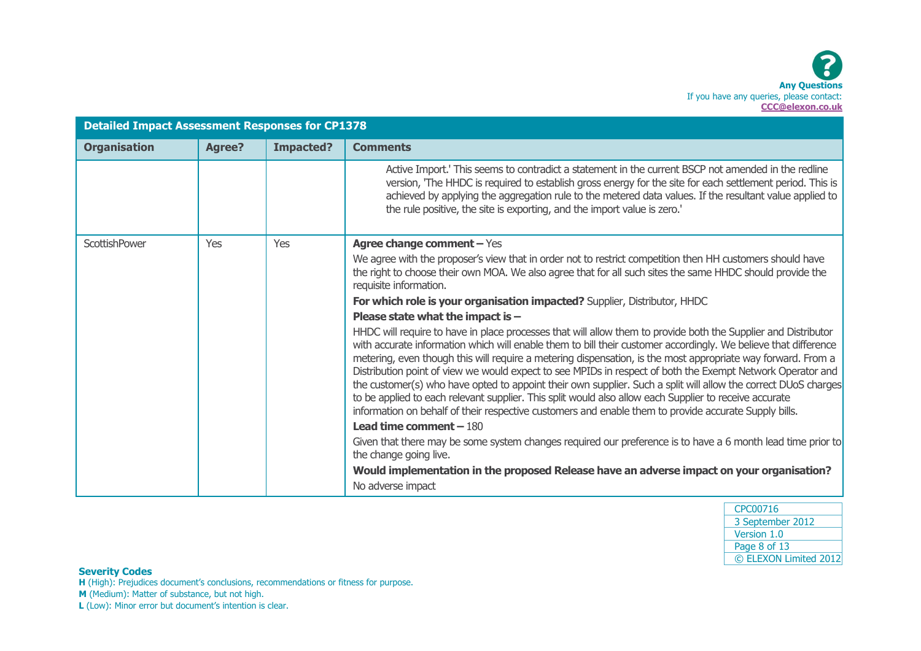| <b>Detailed Impact Assessment Responses for CP1378</b> |               |                  |                                                                                                                                                                                                                                                                                                                                                                                                                                                                                                                                                                                                                                                                                                                                                                                                      |
|--------------------------------------------------------|---------------|------------------|------------------------------------------------------------------------------------------------------------------------------------------------------------------------------------------------------------------------------------------------------------------------------------------------------------------------------------------------------------------------------------------------------------------------------------------------------------------------------------------------------------------------------------------------------------------------------------------------------------------------------------------------------------------------------------------------------------------------------------------------------------------------------------------------------|
| <b>Organisation</b>                                    | <b>Agree?</b> | <b>Impacted?</b> | <b>Comments</b>                                                                                                                                                                                                                                                                                                                                                                                                                                                                                                                                                                                                                                                                                                                                                                                      |
|                                                        |               |                  | Active Import.' This seems to contradict a statement in the current BSCP not amended in the redline<br>version, 'The HHDC is required to establish gross energy for the site for each settlement period. This is<br>achieved by applying the aggregation rule to the metered data values. If the resultant value applied to<br>the rule positive, the site is exporting, and the import value is zero.'                                                                                                                                                                                                                                                                                                                                                                                              |
| <b>ScottishPower</b>                                   | Yes           | Yes              | Agree change comment - Yes                                                                                                                                                                                                                                                                                                                                                                                                                                                                                                                                                                                                                                                                                                                                                                           |
|                                                        |               |                  | We agree with the proposer's view that in order not to restrict competition then HH customers should have<br>the right to choose their own MOA. We also agree that for all such sites the same HHDC should provide the<br>requisite information.                                                                                                                                                                                                                                                                                                                                                                                                                                                                                                                                                     |
|                                                        |               |                  | For which role is your organisation impacted? Supplier, Distributor, HHDC                                                                                                                                                                                                                                                                                                                                                                                                                                                                                                                                                                                                                                                                                                                            |
|                                                        |               |                  | Please state what the impact is $-$                                                                                                                                                                                                                                                                                                                                                                                                                                                                                                                                                                                                                                                                                                                                                                  |
|                                                        |               |                  | HHDC will require to have in place processes that will allow them to provide both the Supplier and Distributor<br>with accurate information which will enable them to bill their customer accordingly. We believe that difference<br>metering, even though this will require a metering dispensation, is the most appropriate way forward. From a<br>Distribution point of view we would expect to see MPIDs in respect of both the Exempt Network Operator and<br>the customer(s) who have opted to appoint their own supplier. Such a split will allow the correct DUoS charges<br>to be applied to each relevant supplier. This split would also allow each Supplier to receive accurate<br>information on behalf of their respective customers and enable them to provide accurate Supply bills. |
|                                                        |               |                  | Lead time comment $-180$                                                                                                                                                                                                                                                                                                                                                                                                                                                                                                                                                                                                                                                                                                                                                                             |
|                                                        |               |                  | Given that there may be some system changes required our preference is to have a 6 month lead time prior to<br>the change going live.                                                                                                                                                                                                                                                                                                                                                                                                                                                                                                                                                                                                                                                                |
|                                                        |               |                  | Would implementation in the proposed Release have an adverse impact on your organisation?                                                                                                                                                                                                                                                                                                                                                                                                                                                                                                                                                                                                                                                                                                            |
|                                                        |               |                  | No adverse impact                                                                                                                                                                                                                                                                                                                                                                                                                                                                                                                                                                                                                                                                                                                                                                                    |

| CPC00716              |
|-----------------------|
| 3 September 2012      |
| Version 1.0           |
| Page 8 of 13          |
| © ELEXON Limited 2012 |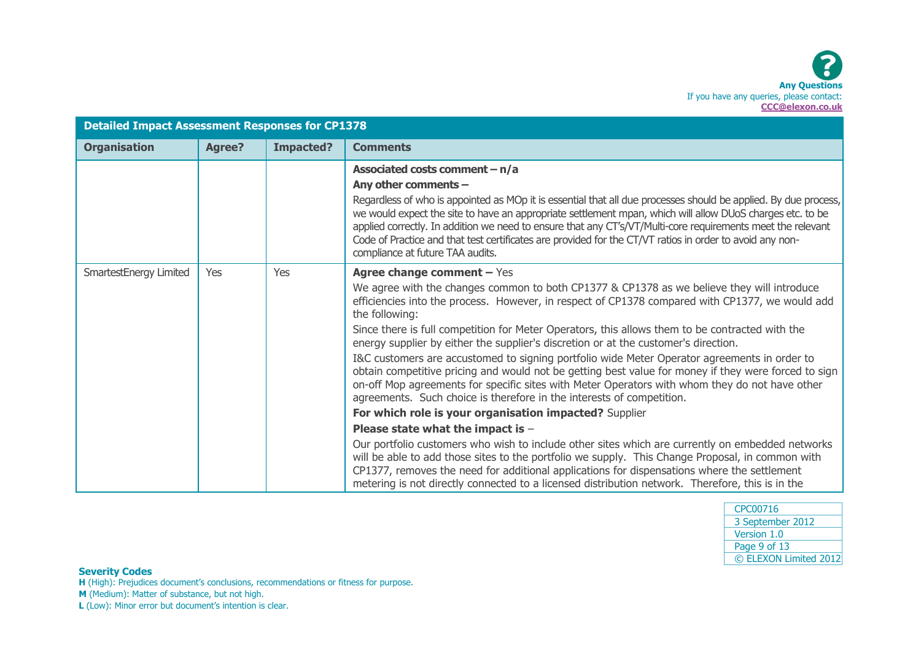| <b>Detailed Impact Assessment Responses for CP1378</b> |               |                  |                                                                                                                                                                                                                                                                                                                                                                                                                                                                                                                                                                                                                                                                                                                                                                                                                            |
|--------------------------------------------------------|---------------|------------------|----------------------------------------------------------------------------------------------------------------------------------------------------------------------------------------------------------------------------------------------------------------------------------------------------------------------------------------------------------------------------------------------------------------------------------------------------------------------------------------------------------------------------------------------------------------------------------------------------------------------------------------------------------------------------------------------------------------------------------------------------------------------------------------------------------------------------|
| <b>Organisation</b>                                    | <b>Agree?</b> | <b>Impacted?</b> | <b>Comments</b>                                                                                                                                                                                                                                                                                                                                                                                                                                                                                                                                                                                                                                                                                                                                                                                                            |
|                                                        |               |                  | Associated costs comment $- n/a$<br>Any other comments -<br>Regardless of who is appointed as MOp it is essential that all due processes should be applied. By due process,<br>we would expect the site to have an appropriate settlement mpan, which will allow DUoS charges etc. to be<br>applied correctly. In addition we need to ensure that any CT's/VT/Multi-core requirements meet the relevant<br>Code of Practice and that test certificates are provided for the CT/VT ratios in order to avoid any non-<br>compliance at future TAA audits.                                                                                                                                                                                                                                                                    |
| SmartestEnergy Limited                                 | Yes           | Yes              | Agree change comment - Yes<br>We agree with the changes common to both CP1377 & CP1378 as we believe they will introduce<br>efficiencies into the process. However, in respect of CP1378 compared with CP1377, we would add<br>the following:<br>Since there is full competition for Meter Operators, this allows them to be contracted with the<br>energy supplier by either the supplier's discretion or at the customer's direction.<br>I&C customers are accustomed to signing portfolio wide Meter Operator agreements in order to<br>obtain competitive pricing and would not be getting best value for money if they were forced to sign<br>on-off Mop agreements for specific sites with Meter Operators with whom they do not have other<br>agreements. Such choice is therefore in the interests of competition. |
|                                                        |               |                  | For which role is your organisation impacted? Supplier                                                                                                                                                                                                                                                                                                                                                                                                                                                                                                                                                                                                                                                                                                                                                                     |
|                                                        |               |                  | Please state what the impact is -<br>Our portfolio customers who wish to include other sites which are currently on embedded networks                                                                                                                                                                                                                                                                                                                                                                                                                                                                                                                                                                                                                                                                                      |
|                                                        |               |                  | will be able to add those sites to the portfolio we supply. This Change Proposal, in common with<br>CP1377, removes the need for additional applications for dispensations where the settlement<br>metering is not directly connected to a licensed distribution network. Therefore, this is in the                                                                                                                                                                                                                                                                                                                                                                                                                                                                                                                        |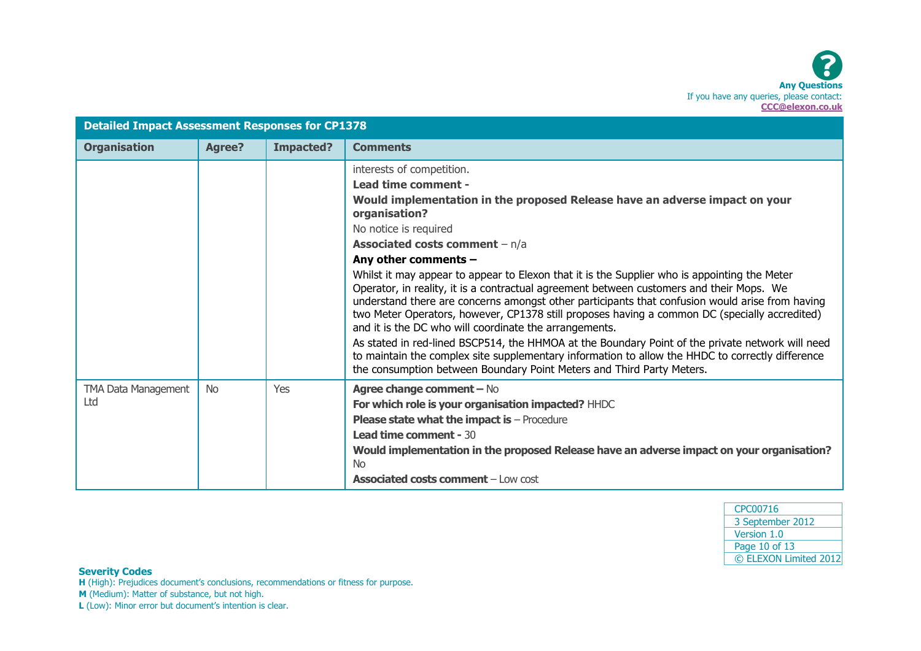| <b>Detailed Impact Assessment Responses for CP1378</b> |               |           |                                                                                                                                                                                                                                                                                                                                                                                                                                                                                                                                                                                                                                                                                                                                                                                                                                                                                                                                                                                         |
|--------------------------------------------------------|---------------|-----------|-----------------------------------------------------------------------------------------------------------------------------------------------------------------------------------------------------------------------------------------------------------------------------------------------------------------------------------------------------------------------------------------------------------------------------------------------------------------------------------------------------------------------------------------------------------------------------------------------------------------------------------------------------------------------------------------------------------------------------------------------------------------------------------------------------------------------------------------------------------------------------------------------------------------------------------------------------------------------------------------|
| <b>Organisation</b>                                    | <b>Agree?</b> | Impacted? | <b>Comments</b>                                                                                                                                                                                                                                                                                                                                                                                                                                                                                                                                                                                                                                                                                                                                                                                                                                                                                                                                                                         |
|                                                        |               |           | interests of competition.<br>Lead time comment -<br>Would implementation in the proposed Release have an adverse impact on your<br>organisation?<br>No notice is required<br><b>Associated costs comment</b> $- n/a$<br>Any other comments -<br>Whilst it may appear to appear to Elexon that it is the Supplier who is appointing the Meter<br>Operator, in reality, it is a contractual agreement between customers and their Mops. We<br>understand there are concerns amongst other participants that confusion would arise from having<br>two Meter Operators, however, CP1378 still proposes having a common DC (specially accredited)<br>and it is the DC who will coordinate the arrangements.<br>As stated in red-lined BSCP514, the HHMOA at the Boundary Point of the private network will need<br>to maintain the complex site supplementary information to allow the HHDC to correctly difference<br>the consumption between Boundary Point Meters and Third Party Meters. |
| TMA Data Management<br>Ltd                             | <b>No</b>     | Yes       | Agree change comment - No<br>For which role is your organisation impacted? HHDC<br><b>Please state what the impact is - Procedure</b><br><b>Lead time comment - 30</b><br>Would implementation in the proposed Release have an adverse impact on your organisation?<br><b>No</b><br><b>Associated costs comment - Low cost</b>                                                                                                                                                                                                                                                                                                                                                                                                                                                                                                                                                                                                                                                          |

| CPC00716              |  |
|-----------------------|--|
| 3 September 2012      |  |
| Version 1.0           |  |
| Page 10 of 13         |  |
| © ELEXON Limited 2012 |  |
|                       |  |

**H** (High): Prejudices document's conclusions, recommendations or fitness for purpose.

**M** (Medium): Matter of substance, but not high.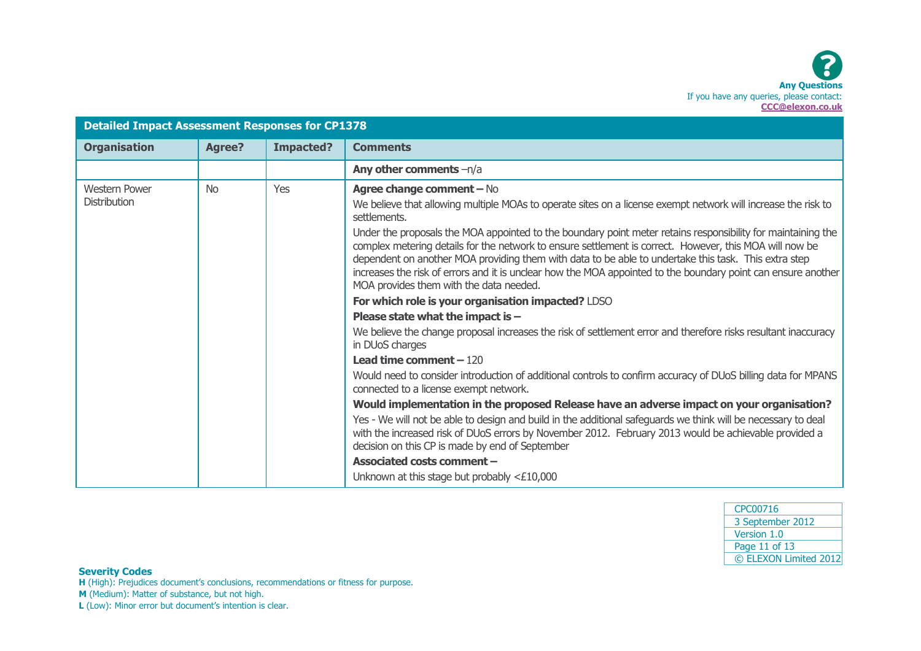| <b>Detailed Impact Assessment Responses for CP1378</b> |               |                  |                                                                                                                                                                                                                                                                                                                                                                                                                                                                                                                                                                                                                                                                                                                                                                                                                                                                                                                                                                                                                                                                                                                                                                                                                                                                                                                                                                                                                                                                                                         |
|--------------------------------------------------------|---------------|------------------|---------------------------------------------------------------------------------------------------------------------------------------------------------------------------------------------------------------------------------------------------------------------------------------------------------------------------------------------------------------------------------------------------------------------------------------------------------------------------------------------------------------------------------------------------------------------------------------------------------------------------------------------------------------------------------------------------------------------------------------------------------------------------------------------------------------------------------------------------------------------------------------------------------------------------------------------------------------------------------------------------------------------------------------------------------------------------------------------------------------------------------------------------------------------------------------------------------------------------------------------------------------------------------------------------------------------------------------------------------------------------------------------------------------------------------------------------------------------------------------------------------|
| <b>Organisation</b>                                    | <b>Agree?</b> | <b>Impacted?</b> | <b>Comments</b>                                                                                                                                                                                                                                                                                                                                                                                                                                                                                                                                                                                                                                                                                                                                                                                                                                                                                                                                                                                                                                                                                                                                                                                                                                                                                                                                                                                                                                                                                         |
|                                                        |               |                  | Any other comments -n/a                                                                                                                                                                                                                                                                                                                                                                                                                                                                                                                                                                                                                                                                                                                                                                                                                                                                                                                                                                                                                                                                                                                                                                                                                                                                                                                                                                                                                                                                                 |
| <b>Western Power</b><br><b>Distribution</b>            | <b>No</b>     | Yes              | <b>Agree change comment - No</b><br>We believe that allowing multiple MOAs to operate sites on a license exempt network will increase the risk to<br>settlements.<br>Under the proposals the MOA appointed to the boundary point meter retains responsibility for maintaining the<br>complex metering details for the network to ensure settlement is correct. However, this MOA will now be<br>dependent on another MOA providing them with data to be able to undertake this task. This extra step<br>increases the risk of errors and it is unclear how the MOA appointed to the boundary point can ensure another<br>MOA provides them with the data needed.<br>For which role is your organisation impacted? LDSO<br>Please state what the impact is $-$<br>We believe the change proposal increases the risk of settlement error and therefore risks resultant inaccuracy<br>in DUoS charges<br><b>Lead time comment - 120</b><br>Would need to consider introduction of additional controls to confirm accuracy of DUoS billing data for MPANS<br>connected to a license exempt network.<br>Would implementation in the proposed Release have an adverse impact on your organisation?<br>Yes - We will not be able to design and build in the additional safeguards we think will be necessary to deal<br>with the increased risk of DUoS errors by November 2012. February 2013 would be achievable provided a<br>decision on this CP is made by end of September<br>Associated costs comment - |
|                                                        |               |                  | Unknown at this stage but probably $<£10,000$                                                                                                                                                                                                                                                                                                                                                                                                                                                                                                                                                                                                                                                                                                                                                                                                                                                                                                                                                                                                                                                                                                                                                                                                                                                                                                                                                                                                                                                           |

| CPC00716              |
|-----------------------|
| 3 September 2012      |
| Version 1.0           |
| Page 11 of 13         |
| © ELEXON Limited 2012 |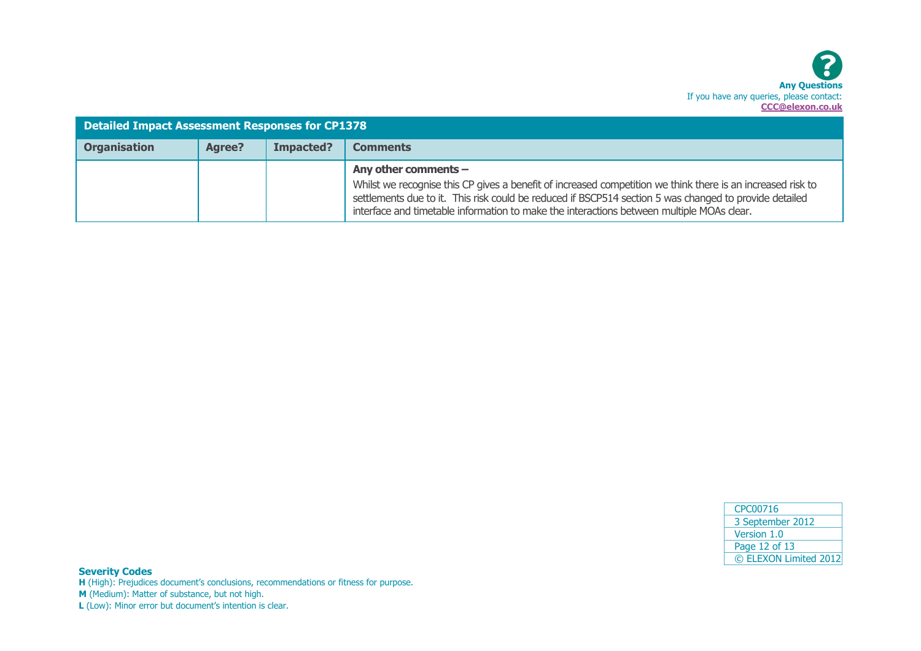

| <b>Detailed Impact Assessment Responses for CP1378</b> |        |           |                                                                                                                                                                                                                                                                                                                                              |
|--------------------------------------------------------|--------|-----------|----------------------------------------------------------------------------------------------------------------------------------------------------------------------------------------------------------------------------------------------------------------------------------------------------------------------------------------------|
| <b>Organisation</b>                                    | Agree? | Impacted? | <b>Comments</b>                                                                                                                                                                                                                                                                                                                              |
|                                                        |        |           | Any other comments $-$<br>Whilst we recognise this CP gives a benefit of increased competition we think there is an increased risk to<br>settlements due to it. This risk could be reduced if BSCP514 section 5 was changed to provide detailed<br>interface and timetable information to make the interactions between multiple MOAs clear. |

| CPC00716              |  |  |  |  |  |
|-----------------------|--|--|--|--|--|
| 3 September 2012      |  |  |  |  |  |
| Version 1.0           |  |  |  |  |  |
| Page 12 of 13         |  |  |  |  |  |
| © ELEXON Limited 2012 |  |  |  |  |  |